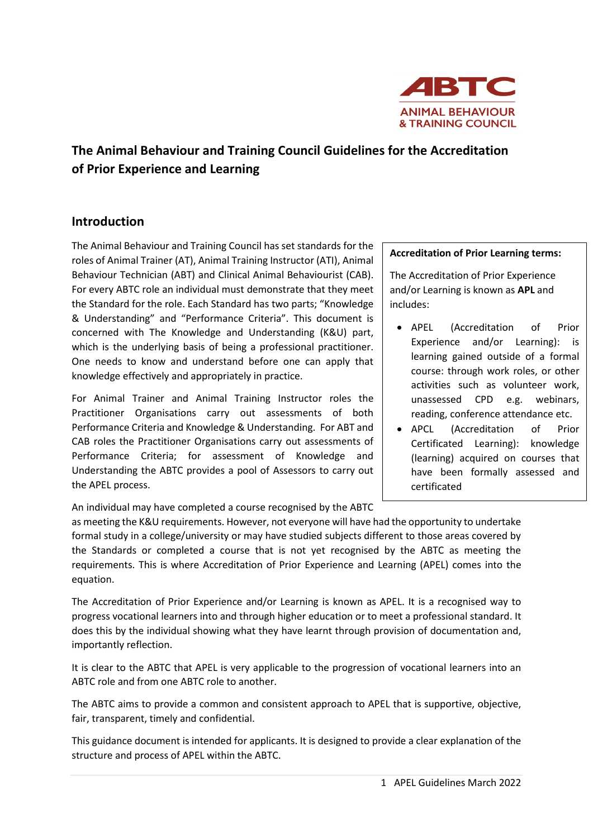

# **The Animal Behaviour and Training Council Guidelines for the Accreditation of Prior Experience and Learning**

### **Introduction**

The Animal Behaviour and Training Council has set standards for the roles of Animal Trainer (AT), Animal Training Instructor (ATI), Animal Behaviour Technician (ABT) and Clinical Animal Behaviourist (CAB). For every ABTC role an individual must demonstrate that they meet the Standard for the role. Each Standard has two parts; "Knowledge & Understanding" and "Performance Criteria". This document is concerned with The Knowledge and Understanding (K&U) part, which is the underlying basis of being a professional practitioner. One needs to know and understand before one can apply that knowledge effectively and appropriately in practice.

For Animal Trainer and Animal Training Instructor roles the Practitioner Organisations carry out assessments of both Performance Criteria and Knowledge & Understanding. For ABT and CAB roles the Practitioner Organisations carry out assessments of Performance Criteria; for assessment of Knowledge and Understanding the ABTC provides a pool of Assessors to carry out the APEL process.

An individual may have completed a course recognised by the ABTC

#### **Accreditation of Prior Learning terms:**

The Accreditation of Prior Experience and/or Learning is known as **APL** and includes:

- APEL (Accreditation of Prior Experience and/or Learning): is learning gained outside of a formal course: through work roles, or other activities such as volunteer work, unassessed CPD e.g. webinars, reading, conference attendance etc.
- APCL (Accreditation of Prior Certificated Learning): knowledge (learning) acquired on courses that have been formally assessed and certificated

as meeting the K&U requirements. However, not everyone will have had the opportunity to undertake formal study in a college/university or may have studied subjects different to those areas covered by the Standards or completed a course that is not yet recognised by the ABTC as meeting the requirements. This is where Accreditation of Prior Experience and Learning (APEL) comes into the equation.

The Accreditation of Prior Experience and/or Learning is known as APEL. It is a recognised way to progress vocational learners into and through higher education or to meet a professional standard. It does this by the individual showing what they have learnt through provision of documentation and, importantly reflection.

It is clear to the ABTC that APEL is very applicable to the progression of vocational learners into an ABTC role and from one ABTC role to another.

The ABTC aims to provide a common and consistent approach to APEL that is supportive, objective, fair, transparent, timely and confidential.

This guidance document is intended for applicants. It is designed to provide a clear explanation of the structure and process of APEL within the ABTC.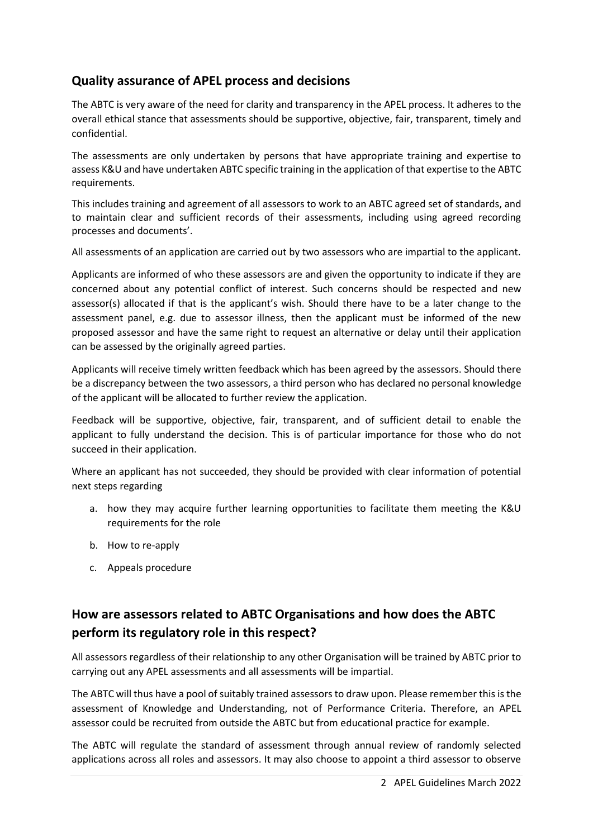# **Quality assurance of APEL process and decisions**

The ABTC is very aware of the need for clarity and transparency in the APEL process. It adheres to the overall ethical stance that assessments should be supportive, objective, fair, transparent, timely and confidential.

The assessments are only undertaken by persons that have appropriate training and expertise to assess K&U and have undertaken ABTC specific training in the application of that expertise to the ABTC requirements.

This includes training and agreement of all assessors to work to an ABTC agreed set of standards, and to maintain clear and sufficient records of their assessments, including using agreed recording processes and documents'.

All assessments of an application are carried out by two assessors who are impartial to the applicant.

Applicants are informed of who these assessors are and given the opportunity to indicate if they are concerned about any potential conflict of interest. Such concerns should be respected and new assessor(s) allocated if that is the applicant's wish. Should there have to be a later change to the assessment panel, e.g. due to assessor illness, then the applicant must be informed of the new proposed assessor and have the same right to request an alternative or delay until their application can be assessed by the originally agreed parties.

Applicants will receive timely written feedback which has been agreed by the assessors. Should there be a discrepancy between the two assessors, a third person who has declared no personal knowledge of the applicant will be allocated to further review the application.

Feedback will be supportive, objective, fair, transparent, and of sufficient detail to enable the applicant to fully understand the decision. This is of particular importance for those who do not succeed in their application.

Where an applicant has not succeeded, they should be provided with clear information of potential next steps regarding

- a. how they may acquire further learning opportunities to facilitate them meeting the K&U requirements for the role
- b. How to re-apply
- c. Appeals procedure

# **How are assessors related to ABTC Organisations and how does the ABTC perform its regulatory role in this respect?**

All assessors regardless of their relationship to any other Organisation will be trained by ABTC prior to carrying out any APEL assessments and all assessments will be impartial.

The ABTC will thus have a pool of suitably trained assessors to draw upon. Please remember this is the assessment of Knowledge and Understanding, not of Performance Criteria. Therefore, an APEL assessor could be recruited from outside the ABTC but from educational practice for example.

The ABTC will regulate the standard of assessment through annual review of randomly selected applications across all roles and assessors. It may also choose to appoint a third assessor to observe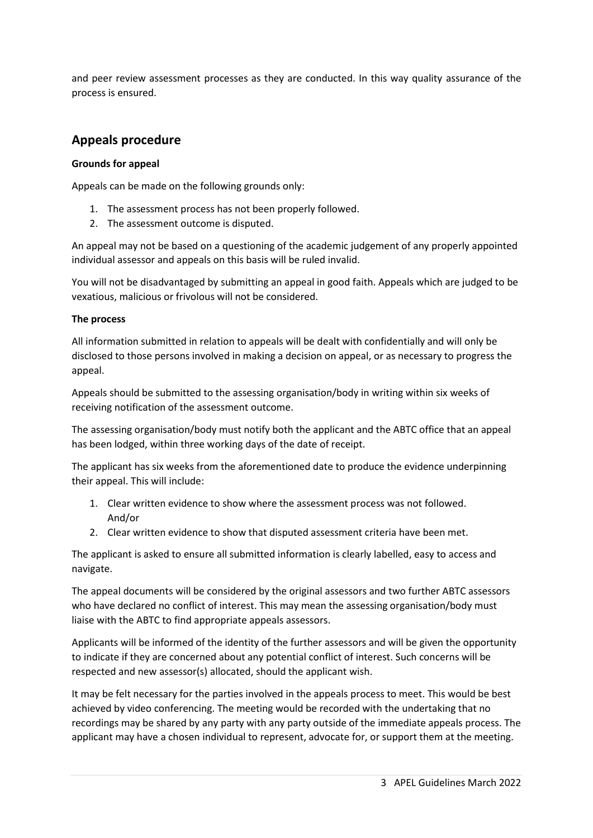and peer review assessment processes as they are conducted. In this way quality assurance of the process is ensured.

### **Appeals procedure**

#### **Grounds for appeal**

Appeals can be made on the following grounds only:

- 1. The assessment process has not been properly followed.
- 2. The assessment outcome is disputed.

An appeal may not be based on a questioning of the academic judgement of any properly appointed individual assessor and appeals on this basis will be ruled invalid.

You will not be disadvantaged by submitting an appeal in good faith. Appeals which are judged to be vexatious, malicious or frivolous will not be considered.

#### **The process**

All information submitted in relation to appeals will be dealt with confidentially and will only be disclosed to those persons involved in making a decision on appeal, or as necessary to progress the appeal.

Appeals should be submitted to the assessing organisation/body in writing within six weeks of receiving notification of the assessment outcome.

The assessing organisation/body must notify both the applicant and the ABTC office that an appeal has been lodged, within three working days of the date of receipt.

The applicant has six weeks from the aforementioned date to produce the evidence underpinning their appeal. This will include:

- 1. Clear written evidence to show where the assessment process was not followed. And/or
- 2. Clear written evidence to show that disputed assessment criteria have been met.

The applicant is asked to ensure all submitted information is clearly labelled, easy to access and navigate.

The appeal documents will be considered by the original assessors and two further ABTC assessors who have declared no conflict of interest. This may mean the assessing organisation/body must liaise with the ABTC to find appropriate appeals assessors.

Applicants will be informed of the identity of the further assessors and will be given the opportunity to indicate if they are concerned about any potential conflict of interest. Such concerns will be respected and new assessor(s) allocated, should the applicant wish.

It may be felt necessary for the parties involved in the appeals process to meet. This would be best achieved by video conferencing. The meeting would be recorded with the undertaking that no recordings may be shared by any party with any party outside of the immediate appeals process. The applicant may have a chosen individual to represent, advocate for, or support them at the meeting.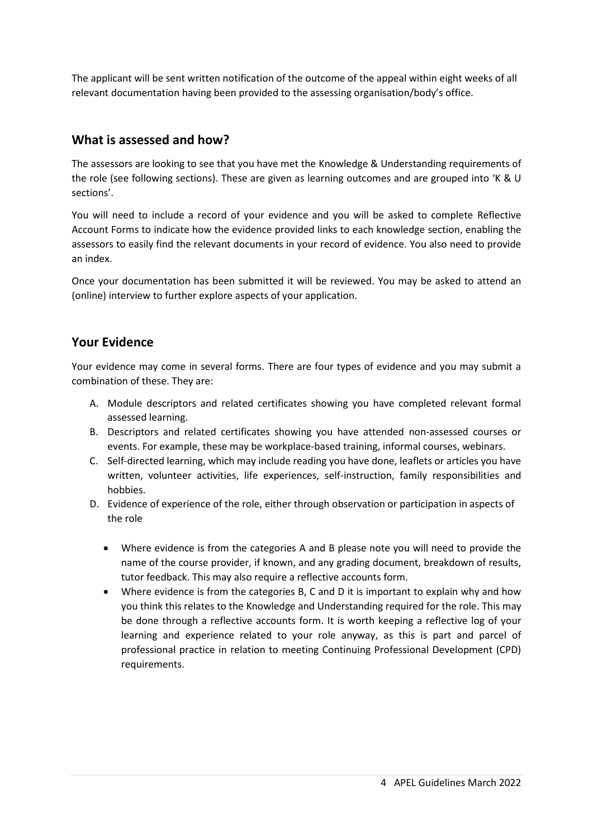The applicant will be sent written notification of the outcome of the appeal within eight weeks of all relevant documentation having been provided to the assessing organisation/body's office.

### **What is assessed and how?**

The assessors are looking to see that you have met the Knowledge & Understanding requirements of the role (see following sections). These are given as learning outcomes and are grouped into 'K & U sections'.

You will need to include a record of your evidence and you will be asked to complete Reflective Account Forms to indicate how the evidence provided links to each knowledge section, enabling the assessors to easily find the relevant documents in your record of evidence. You also need to provide an index.

Once your documentation has been submitted it will be reviewed. You may be asked to attend an (online) interview to further explore aspects of your application.

### **Your Evidence**

Your evidence may come in several forms. There are four types of evidence and you may submit a combination of these. They are:

- A. Module descriptors and related certificates showing you have completed relevant formal assessed learning.
- B. Descriptors and related certificates showing you have attended non-assessed courses or events. For example, these may be workplace-based training, informal courses, webinars.
- C. Self-directed learning, which may include reading you have done, leaflets or articles you have written, volunteer activities, life experiences, self-instruction, family responsibilities and hobbies.
- D. Evidence of experience of the role, either through observation or participation in aspects of the role
	- Where evidence is from the categories A and B please note you will need to provide the name of the course provider, if known, and any grading document, breakdown of results, tutor feedback. This may also require a reflective accounts form.
	- Where evidence is from the categories B, C and D it is important to explain why and how you think this relates to the Knowledge and Understanding required for the role. This may be done through a reflective accounts form. It is worth keeping a reflective log of your learning and experience related to your role anyway, as this is part and parcel of professional practice in relation to meeting Continuing Professional Development (CPD) requirements.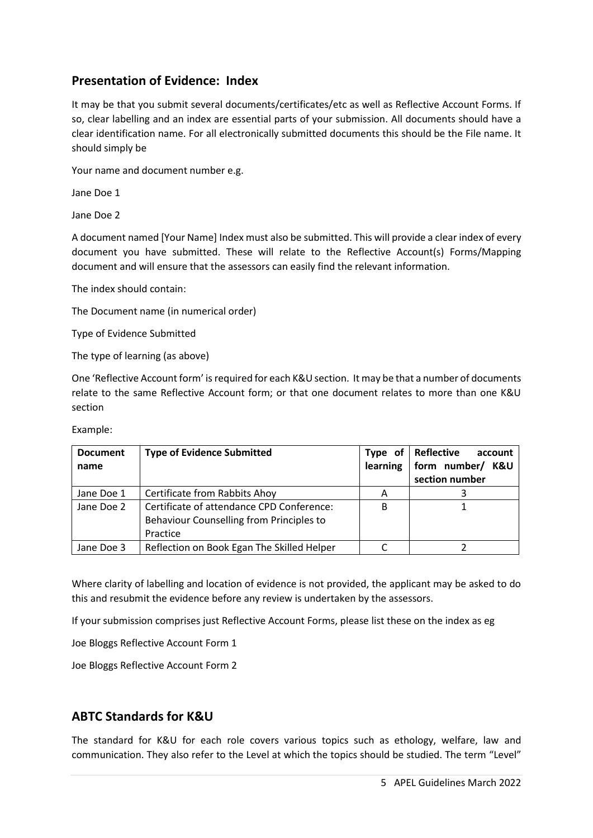# **Presentation of Evidence: Index**

It may be that you submit several documents/certificates/etc as well as Reflective Account Forms. If so, clear labelling and an index are essential parts of your submission. All documents should have a clear identification name. For all electronically submitted documents this should be the File name. It should simply be

Your name and document number e.g.

Jane Doe 1

Jane Doe 2

A document named [Your Name] Index must also be submitted. This will provide a clear index of every document you have submitted. These will relate to the Reflective Account(s) Forms/Mapping document and will ensure that the assessors can easily find the relevant information.

The index should contain:

The Document name (in numerical order)

Type of Evidence Submitted

The type of learning (as above)

One 'Reflective Account form' is required for each K&U section. It may be that a number of documents relate to the same Reflective Account form; or that one document relates to more than one K&U section

| <b>Document</b><br>name | <b>Type of Evidence Submitted</b>                                                                 | Type of<br>learning | Reflective<br>account<br>form number/<br>K&U<br>section number |
|-------------------------|---------------------------------------------------------------------------------------------------|---------------------|----------------------------------------------------------------|
| Jane Doe 1              | Certificate from Rabbits Ahoy                                                                     | А                   |                                                                |
| Jane Doe 2              | Certificate of attendance CPD Conference:<br>Behaviour Counselling from Principles to<br>Practice | B                   |                                                                |
| Jane Doe 3              | Reflection on Book Egan The Skilled Helper                                                        |                     |                                                                |

Example:

Where clarity of labelling and location of evidence is not provided, the applicant may be asked to do this and resubmit the evidence before any review is undertaken by the assessors.

If your submission comprises just Reflective Account Forms, please list these on the index as eg

Joe Bloggs Reflective Account Form 1

Joe Bloggs Reflective Account Form 2

### **ABTC Standards for K&U**

The standard for K&U for each role covers various topics such as ethology, welfare, law and communication. They also refer to the Level at which the topics should be studied. The term "Level"